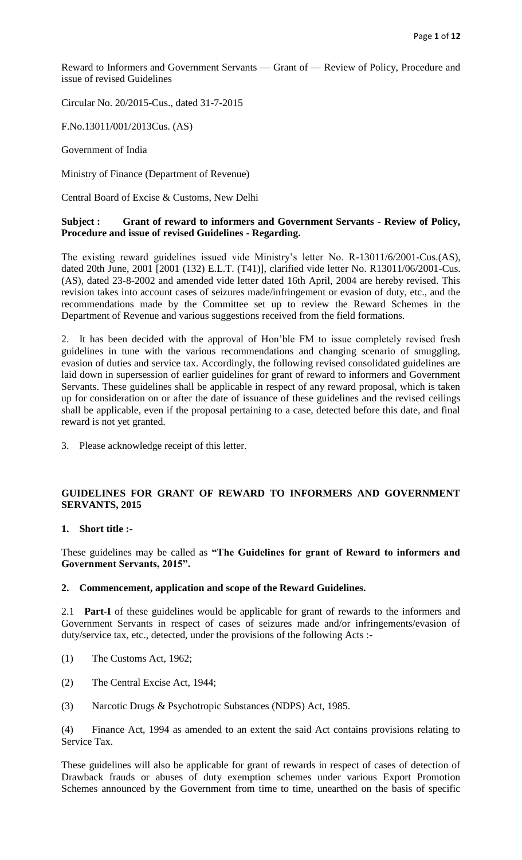Reward to Informers and Government Servants — Grant of — Review of Policy, Procedure and issue of revised Guidelines

Circular No. 20/2015-Cus., dated 31-7-2015

F.No.13011/001/2013Cus. (AS)

Government of India

Ministry of Finance (Department of Revenue)

Central Board of Excise & Customs, New Delhi

#### **Subject : Grant of reward to informers and Government Servants - Review of Policy, Procedure and issue of revised Guidelines - Regarding.**

The existing reward guidelines issued vide Ministry's letter No. R-13011/6/2001-Cus.(AS), dated 20th June, 2001 [2001 (132) E.L.T. (T41)], clarified vide letter No. R13011/06/2001-Cus. (AS), dated 23-8-2002 and amended vide letter dated 16th April, 2004 are hereby revised. This revision takes into account cases of seizures made/infringement or evasion of duty, etc., and the recommendations made by the Committee set up to review the Reward Schemes in the Department of Revenue and various suggestions received from the field formations.

2. It has been decided with the approval of Hon'ble FM to issue completely revised fresh guidelines in tune with the various recommendations and changing scenario of smuggling, evasion of duties and service tax. Accordingly, the following revised consolidated guidelines are laid down in supersession of earlier guidelines for grant of reward to informers and Government Servants. These guidelines shall be applicable in respect of any reward proposal, which is taken up for consideration on or after the date of issuance of these guidelines and the revised ceilings shall be applicable, even if the proposal pertaining to a case, detected before this date, and final reward is not yet granted.

3. Please acknowledge receipt of this letter.

## **GUIDELINES FOR GRANT OF REWARD TO INFORMERS AND GOVERNMENT SERVANTS, 2015**

#### **1. Short title :-**

These guidelines may be called as **"The Guidelines for grant of Reward to informers and Government Servants, 2015".**

#### **2. Commencement, application and scope of the Reward Guidelines.**

2.1 **Part-I** of these guidelines would be applicable for grant of rewards to the informers and Government Servants in respect of cases of seizures made and/or infringements/evasion of duty/service tax, etc., detected, under the provisions of the following Acts :-

- (1) The Customs Act, 1962;
- (2) The Central Excise Act, 1944;
- (3) Narcotic Drugs & Psychotropic Substances (NDPS) Act, 1985.

(4) Finance Act, 1994 as amended to an extent the said Act contains provisions relating to Service Tax.

These guidelines will also be applicable for grant of rewards in respect of cases of detection of Drawback frauds or abuses of duty exemption schemes under various Export Promotion Schemes announced by the Government from time to time, unearthed on the basis of specific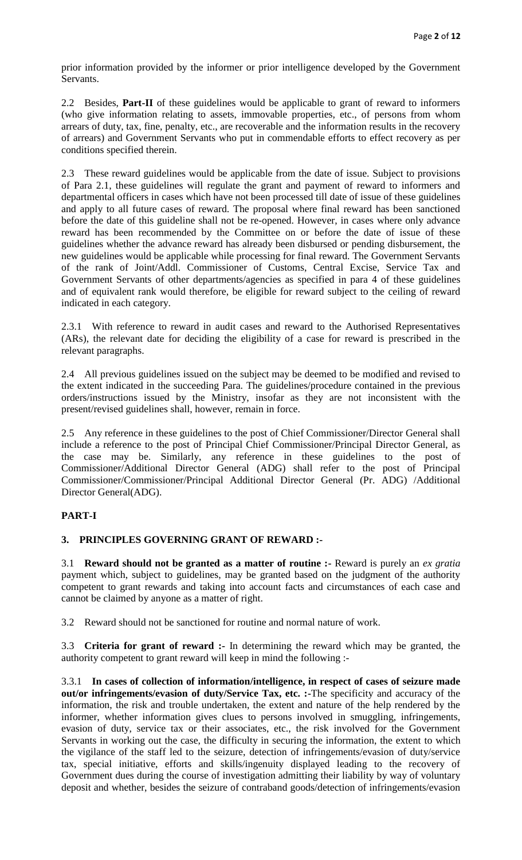prior information provided by the informer or prior intelligence developed by the Government Servants.

2.2 Besides, **Part-II** of these guidelines would be applicable to grant of reward to informers (who give information relating to assets, immovable properties, etc., of persons from whom arrears of duty, tax, fine, penalty, etc., are recoverable and the information results in the recovery of arrears) and Government Servants who put in commendable efforts to effect recovery as per conditions specified therein.

2.3 These reward guidelines would be applicable from the date of issue. Subject to provisions of Para 2.1, these guidelines will regulate the grant and payment of reward to informers and departmental officers in cases which have not been processed till date of issue of these guidelines and apply to all future cases of reward. The proposal where final reward has been sanctioned before the date of this guideline shall not be re-opened. However, in cases where only advance reward has been recommended by the Committee on or before the date of issue of these guidelines whether the advance reward has already been disbursed or pending disbursement, the new guidelines would be applicable while processing for final reward. The Government Servants of the rank of Joint/Addl. Commissioner of Customs, Central Excise, Service Tax and Government Servants of other departments/agencies as specified in para 4 of these guidelines and of equivalent rank would therefore, be eligible for reward subject to the ceiling of reward indicated in each category.

2.3.1 With reference to reward in audit cases and reward to the Authorised Representatives (ARs), the relevant date for deciding the eligibility of a case for reward is prescribed in the relevant paragraphs.

2.4 All previous guidelines issued on the subject may be deemed to be modified and revised to the extent indicated in the succeeding Para. The guidelines/procedure contained in the previous orders/instructions issued by the Ministry, insofar as they are not inconsistent with the present/revised guidelines shall, however, remain in force.

2.5 Any reference in these guidelines to the post of Chief Commissioner/Director General shall include a reference to the post of Principal Chief Commissioner/Principal Director General, as the case may be. Similarly, any reference in these guidelines to the post of Commissioner/Additional Director General (ADG) shall refer to the post of Principal Commissioner/Commissioner/Principal Additional Director General (Pr. ADG) /Additional Director General(ADG).

# **PART-I**

## **3. PRINCIPLES GOVERNING GRANT OF REWARD :-**

3.1 **Reward should not be granted as a matter of routine :-** Reward is purely an *ex gratia* payment which, subject to guidelines, may be granted based on the judgment of the authority competent to grant rewards and taking into account facts and circumstances of each case and cannot be claimed by anyone as a matter of right.

3.2 Reward should not be sanctioned for routine and normal nature of work.

3.3 **Criteria for grant of reward :-** In determining the reward which may be granted, the authority competent to grant reward will keep in mind the following :-

3.3.1 **In cases of collection of information/intelligence, in respect of cases of seizure made out/or infringements/evasion of duty/Service Tax, etc. :-**The specificity and accuracy of the information, the risk and trouble undertaken, the extent and nature of the help rendered by the informer, whether information gives clues to persons involved in smuggling, infringements, evasion of duty, service tax or their associates, etc., the risk involved for the Government Servants in working out the case, the difficulty in securing the information, the extent to which the vigilance of the staff led to the seizure, detection of infringements/evasion of duty/service tax, special initiative, efforts and skills/ingenuity displayed leading to the recovery of Government dues during the course of investigation admitting their liability by way of voluntary deposit and whether, besides the seizure of contraband goods/detection of infringements/evasion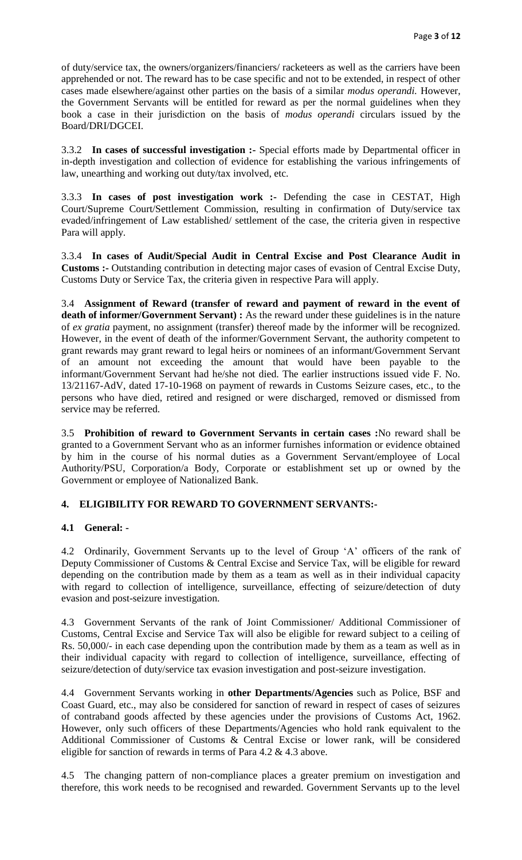of duty/service tax, the owners/organizers/financiers/ racketeers as well as the carriers have been apprehended or not. The reward has to be case specific and not to be extended, in respect of other cases made elsewhere/against other parties on the basis of a similar *modus operandi.* However, the Government Servants will be entitled for reward as per the normal guidelines when they book a case in their jurisdiction on the basis of *modus operandi* circulars issued by the Board/DRI/DGCEI.

3.3.2 **In cases of successful investigation :-** Special efforts made by Departmental officer in in-depth investigation and collection of evidence for establishing the various infringements of law, unearthing and working out duty/tax involved, etc.

3.3.3 **In cases of post investigation work :-** Defending the case in CESTAT, High Court/Supreme Court/Settlement Commission, resulting in confirmation of Duty/service tax evaded/infringement of Law established/ settlement of the case, the criteria given in respective Para will apply.

3.3.4 **In cases of Audit/Special Audit in Central Excise and Post Clearance Audit in Customs :-** Outstanding contribution in detecting major cases of evasion of Central Excise Duty, Customs Duty or Service Tax, the criteria given in respective Para will apply.

3.4 **Assignment of Reward (transfer of reward and payment of reward in the event of death of informer/Government Servant) :** As the reward under these guidelines is in the nature of *ex gratia* payment, no assignment (transfer) thereof made by the informer will be recognized. However, in the event of death of the informer/Government Servant, the authority competent to grant rewards may grant reward to legal heirs or nominees of an informant/Government Servant of an amount not exceeding the amount that would have been payable to the informant/Government Servant had he/she not died. The earlier instructions issued vide F. No. 13/21167-AdV, dated 17-10-1968 on payment of rewards in Customs Seizure cases, etc., to the persons who have died, retired and resigned or were discharged, removed or dismissed from service may be referred.

3.5 **Prohibition of reward to Government Servants in certain cases :**No reward shall be granted to a Government Servant who as an informer furnishes information or evidence obtained by him in the course of his normal duties as a Government Servant/employee of Local Authority/PSU, Corporation/a Body, Corporate or establishment set up or owned by the Government or employee of Nationalized Bank.

# **4. ELIGIBILITY FOR REWARD TO GOVERNMENT SERVANTS:-**

## **4.1 General: -**

4.2 Ordinarily, Government Servants up to the level of Group 'A' officers of the rank of Deputy Commissioner of Customs & Central Excise and Service Tax, will be eligible for reward depending on the contribution made by them as a team as well as in their individual capacity with regard to collection of intelligence, surveillance, effecting of seizure/detection of duty evasion and post-seizure investigation.

4.3 Government Servants of the rank of Joint Commissioner/ Additional Commissioner of Customs, Central Excise and Service Tax will also be eligible for reward subject to a ceiling of Rs. 50,000/- in each case depending upon the contribution made by them as a team as well as in their individual capacity with regard to collection of intelligence, surveillance, effecting of seizure/detection of duty/service tax evasion investigation and post-seizure investigation.

4.4 Government Servants working in **other Departments/Agencies** such as Police, BSF and Coast Guard, etc., may also be considered for sanction of reward in respect of cases of seizures of contraband goods affected by these agencies under the provisions of Customs Act, 1962. However, only such officers of these Departments/Agencies who hold rank equivalent to the Additional Commissioner of Customs & Central Excise or lower rank, will be considered eligible for sanction of rewards in terms of Para 4.2 & 4.3 above.

4.5 The changing pattern of non-compliance places a greater premium on investigation and therefore, this work needs to be recognised and rewarded. Government Servants up to the level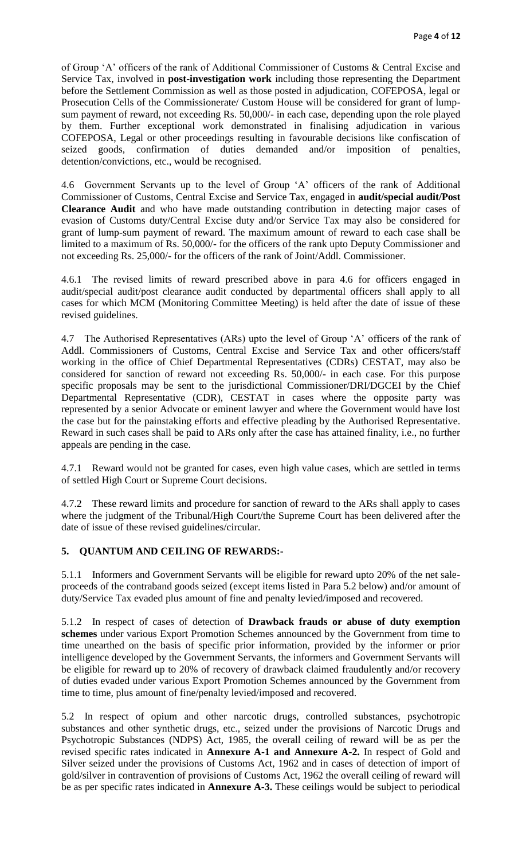of Group 'A' officers of the rank of Additional Commissioner of Customs & Central Excise and Service Tax, involved in **post-investigation work** including those representing the Department before the Settlement Commission as well as those posted in adjudication, COFEPOSA, legal or Prosecution Cells of the Commissionerate/ Custom House will be considered for grant of lumpsum payment of reward, not exceeding Rs. 50,000/- in each case, depending upon the role played by them. Further exceptional work demonstrated in finalising adjudication in various COFEPOSA, Legal or other proceedings resulting in favourable decisions like confiscation of seized goods, confirmation of duties demanded and/or imposition of penalties, detention/convictions, etc., would be recognised.

4.6 Government Servants up to the level of Group 'A' officers of the rank of Additional Commissioner of Customs, Central Excise and Service Tax, engaged in **audit/special audit/Post Clearance Audit** and who have made outstanding contribution in detecting major cases of evasion of Customs duty/Central Excise duty and/or Service Tax may also be considered for grant of lump-sum payment of reward. The maximum amount of reward to each case shall be limited to a maximum of Rs. 50,000/- for the officers of the rank upto Deputy Commissioner and not exceeding Rs. 25,000/- for the officers of the rank of Joint/Addl. Commissioner.

4.6.1 The revised limits of reward prescribed above in para 4.6 for officers engaged in audit/special audit/post clearance audit conducted by departmental officers shall apply to all cases for which MCM (Monitoring Committee Meeting) is held after the date of issue of these revised guidelines.

4.7 The Authorised Representatives (ARs) upto the level of Group 'A' officers of the rank of Addl. Commissioners of Customs, Central Excise and Service Tax and other officers/staff working in the office of Chief Departmental Representatives (CDRs) CESTAT, may also be considered for sanction of reward not exceeding Rs. 50,000/- in each case. For this purpose specific proposals may be sent to the jurisdictional Commissioner/DRI/DGCEI by the Chief Departmental Representative (CDR), CESTAT in cases where the opposite party was represented by a senior Advocate or eminent lawyer and where the Government would have lost the case but for the painstaking efforts and effective pleading by the Authorised Representative. Reward in such cases shall be paid to ARs only after the case has attained finality, i.e., no further appeals are pending in the case.

4.7.1 Reward would not be granted for cases, even high value cases, which are settled in terms of settled High Court or Supreme Court decisions.

4.7.2 These reward limits and procedure for sanction of reward to the ARs shall apply to cases where the judgment of the Tribunal/High Court/the Supreme Court has been delivered after the date of issue of these revised guidelines/circular.

# **5. QUANTUM AND CEILING OF REWARDS:-**

5.1.1 Informers and Government Servants will be eligible for reward upto 20% of the net saleproceeds of the contraband goods seized (except items listed in Para 5.2 below) and/or amount of duty/Service Tax evaded plus amount of fine and penalty levied/imposed and recovered.

5.1.2 In respect of cases of detection of **Drawback frauds or abuse of duty exemption schemes** under various Export Promotion Schemes announced by the Government from time to time unearthed on the basis of specific prior information, provided by the informer or prior intelligence developed by the Government Servants, the informers and Government Servants will be eligible for reward up to 20% of recovery of drawback claimed fraudulently and/or recovery of duties evaded under various Export Promotion Schemes announced by the Government from time to time, plus amount of fine/penalty levied/imposed and recovered.

5.2 In respect of opium and other narcotic drugs, controlled substances, psychotropic substances and other synthetic drugs, etc., seized under the provisions of Narcotic Drugs and Psychotropic Substances (NDPS) Act, 1985, the overall ceiling of reward will be as per the revised specific rates indicated in **Annexure A-1 and Annexure A-2.** In respect of Gold and Silver seized under the provisions of Customs Act, 1962 and in cases of detection of import of gold/silver in contravention of provisions of Customs Act, 1962 the overall ceiling of reward will be as per specific rates indicated in **Annexure A-3.** These ceilings would be subject to periodical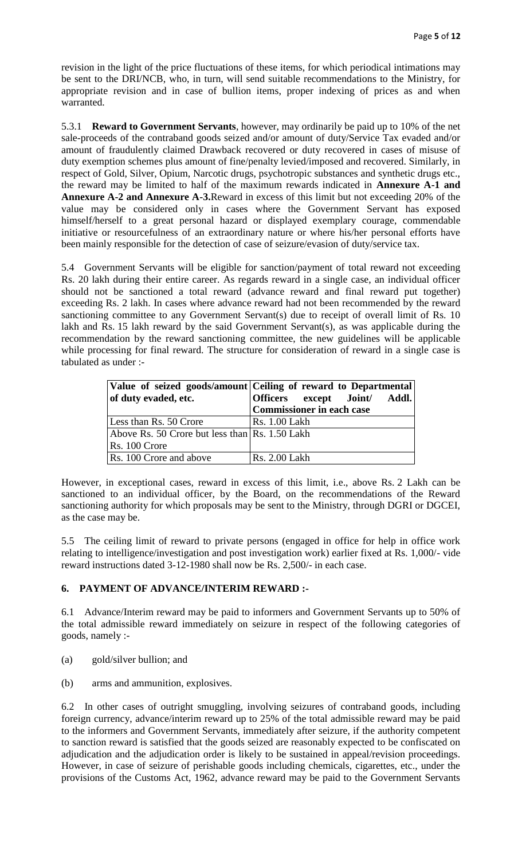revision in the light of the price fluctuations of these items, for which periodical intimations may be sent to the DRI/NCB, who, in turn, will send suitable recommendations to the Ministry, for appropriate revision and in case of bullion items, proper indexing of prices as and when warranted.

5.3.1 **Reward to Government Servants**, however, may ordinarily be paid up to 10% of the net sale-proceeds of the contraband goods seized and/or amount of duty/Service Tax evaded and/or amount of fraudulently claimed Drawback recovered or duty recovered in cases of misuse of duty exemption schemes plus amount of fine/penalty levied/imposed and recovered. Similarly, in respect of Gold, Silver, Opium, Narcotic drugs, psychotropic substances and synthetic drugs etc., the reward may be limited to half of the maximum rewards indicated in **Annexure A-1 and Annexure A-2 and Annexure A-3.**Reward in excess of this limit but not exceeding 20% of the value may be considered only in cases where the Government Servant has exposed himself/herself to a great personal hazard or displayed exemplary courage, commendable initiative or resourcefulness of an extraordinary nature or where his/her personal efforts have been mainly responsible for the detection of case of seizure/evasion of duty/service tax.

5.4 Government Servants will be eligible for sanction/payment of total reward not exceeding Rs. 20 lakh during their entire career. As regards reward in a single case, an individual officer should not be sanctioned a total reward (advance reward and final reward put together) exceeding Rs. 2 lakh. In cases where advance reward had not been recommended by the reward sanctioning committee to any Government Servant(s) due to receipt of overall limit of Rs. 10 lakh and Rs. 15 lakh reward by the said Government Servant(s), as was applicable during the recommendation by the reward sanctioning committee, the new guidelines will be applicable while processing for final reward. The structure for consideration of reward in a single case is tabulated as under :-

|                                                | Value of seized goods/amount Ceiling of reward to Departmental |
|------------------------------------------------|----------------------------------------------------------------|
| of duty evaded, etc.                           | Officers except Joint/ Addl.                                   |
|                                                | Commissioner in each case                                      |
| Less than Rs. 50 Crore                         | <b>Rs. 1.00 Lakh</b>                                           |
| Above Rs. 50 Crore but less than Rs. 1.50 Lakh |                                                                |
| Rs. 100 Crore                                  |                                                                |
| Rs. 100 Crore and above                        | Rs. 2.00 Lakh                                                  |

However, in exceptional cases, reward in excess of this limit, i.e., above Rs. 2 Lakh can be sanctioned to an individual officer, by the Board, on the recommendations of the Reward sanctioning authority for which proposals may be sent to the Ministry, through DGRI or DGCEI, as the case may be.

5.5 The ceiling limit of reward to private persons (engaged in office for help in office work relating to intelligence/investigation and post investigation work) earlier fixed at Rs. 1,000/- vide reward instructions dated 3-12-1980 shall now be Rs. 2,500/- in each case.

# **6. PAYMENT OF ADVANCE/INTERIM REWARD :-**

6.1 Advance/Interim reward may be paid to informers and Government Servants up to 50% of the total admissible reward immediately on seizure in respect of the following categories of goods, namely :-

(a) gold/silver bullion; and

(b) arms and ammunition, explosives.

6.2 In other cases of outright smuggling, involving seizures of contraband goods, including foreign currency, advance/interim reward up to 25% of the total admissible reward may be paid to the informers and Government Servants, immediately after seizure, if the authority competent to sanction reward is satisfied that the goods seized are reasonably expected to be confiscated on adjudication and the adjudication order is likely to be sustained in appeal/revision proceedings. However, in case of seizure of perishable goods including chemicals, cigarettes, etc., under the provisions of the Customs Act, 1962, advance reward may be paid to the Government Servants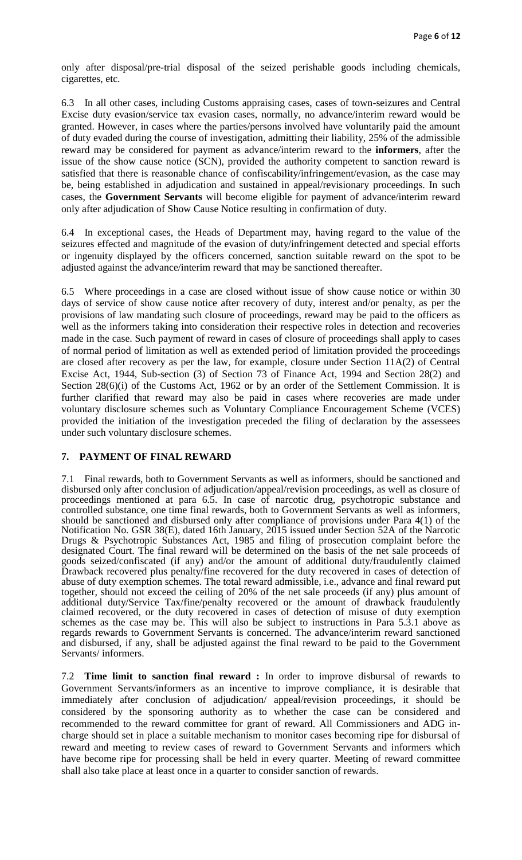only after disposal/pre-trial disposal of the seized perishable goods including chemicals, cigarettes, etc.

6.3 In all other cases, including Customs appraising cases, cases of town-seizures and Central Excise duty evasion/service tax evasion cases, normally, no advance/interim reward would be granted. However, in cases where the parties/persons involved have voluntarily paid the amount of duty evaded during the course of investigation, admitting their liability, 25% of the admissible reward may be considered for payment as advance/interim reward to the **informers**, after the issue of the show cause notice (SCN), provided the authority competent to sanction reward is satisfied that there is reasonable chance of confiscability/infringement/evasion, as the case may be, being established in adjudication and sustained in appeal/revisionary proceedings. In such cases, the **Government Servants** will become eligible for payment of advance/interim reward only after adjudication of Show Cause Notice resulting in confirmation of duty.

6.4 In exceptional cases, the Heads of Department may, having regard to the value of the seizures effected and magnitude of the evasion of duty/infringement detected and special efforts or ingenuity displayed by the officers concerned, sanction suitable reward on the spot to be adjusted against the advance/interim reward that may be sanctioned thereafter.

6.5 Where proceedings in a case are closed without issue of show cause notice or within 30 days of service of show cause notice after recovery of duty, interest and/or penalty, as per the provisions of law mandating such closure of proceedings, reward may be paid to the officers as well as the informers taking into consideration their respective roles in detection and recoveries made in the case. Such payment of reward in cases of closure of proceedings shall apply to cases of normal period of limitation as well as extended period of limitation provided the proceedings are closed after recovery as per the law, for example, closure under Section 11A(2) of Central Excise Act, 1944, Sub-section (3) of Section 73 of Finance Act, 1994 and Section 28(2) and Section 28(6)(i) of the Customs Act, 1962 or by an order of the Settlement Commission. It is further clarified that reward may also be paid in cases where recoveries are made under voluntary disclosure schemes such as Voluntary Compliance Encouragement Scheme (VCES) provided the initiation of the investigation preceded the filing of declaration by the assessees under such voluntary disclosure schemes.

## **7. PAYMENT OF FINAL REWARD**

7.1 Final rewards, both to Government Servants as well as informers, should be sanctioned and disbursed only after conclusion of adjudication/appeal/revision proceedings, as well as closure of proceedings mentioned at para 6.5. In case of narcotic drug, psychotropic substance and controlled substance, one time final rewards, both to Government Servants as well as informers, should be sanctioned and disbursed only after compliance of provisions under Para 4(1) of the Notification No. GSR 38(E), dated 16th January, 2015 issued under Section 52A of the Narcotic Drugs & Psychotropic Substances Act, 1985 and filing of prosecution complaint before the designated Court. The final reward will be determined on the basis of the net sale proceeds of goods seized/confiscated (if any) and/or the amount of additional duty/fraudulently claimed Drawback recovered plus penalty/fine recovered for the duty recovered in cases of detection of abuse of duty exemption schemes. The total reward admissible, i.e., advance and final reward put together, should not exceed the ceiling of 20% of the net sale proceeds (if any) plus amount of additional duty/Service Tax/fine/penalty recovered or the amount of drawback fraudulently claimed recovered, or the duty recovered in cases of detection of misuse of duty exemption schemes as the case may be. This will also be subject to instructions in Para 5.3.1 above as regards rewards to Government Servants is concerned. The advance/interim reward sanctioned and disbursed, if any, shall be adjusted against the final reward to be paid to the Government Servants/ informers.

7.2 **Time limit to sanction final reward :** In order to improve disbursal of rewards to Government Servants/informers as an incentive to improve compliance, it is desirable that immediately after conclusion of adjudication/ appeal/revision proceedings, it should be considered by the sponsoring authority as to whether the case can be considered and recommended to the reward committee for grant of reward. All Commissioners and ADG incharge should set in place a suitable mechanism to monitor cases becoming ripe for disbursal of reward and meeting to review cases of reward to Government Servants and informers which have become ripe for processing shall be held in every quarter. Meeting of reward committee shall also take place at least once in a quarter to consider sanction of rewards.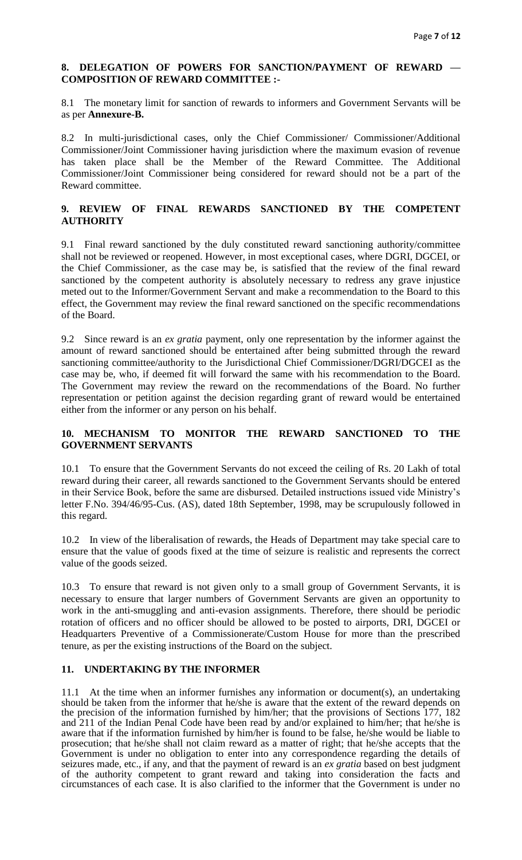## **8. DELEGATION OF POWERS FOR SANCTION/PAYMENT OF REWARD — COMPOSITION OF REWARD COMMITTEE :-**

8.1 The monetary limit for sanction of rewards to informers and Government Servants will be as per **Annexure-B.**

8.2 In multi-jurisdictional cases, only the Chief Commissioner/ Commissioner/Additional Commissioner/Joint Commissioner having jurisdiction where the maximum evasion of revenue has taken place shall be the Member of the Reward Committee. The Additional Commissioner/Joint Commissioner being considered for reward should not be a part of the Reward committee.

# **9. REVIEW OF FINAL REWARDS SANCTIONED BY THE COMPETENT AUTHORITY**

9.1 Final reward sanctioned by the duly constituted reward sanctioning authority/committee shall not be reviewed or reopened. However, in most exceptional cases, where DGRI, DGCEI, or the Chief Commissioner, as the case may be, is satisfied that the review of the final reward sanctioned by the competent authority is absolutely necessary to redress any grave injustice meted out to the Informer/Government Servant and make a recommendation to the Board to this effect, the Government may review the final reward sanctioned on the specific recommendations of the Board.

9.2 Since reward is an *ex gratia* payment, only one representation by the informer against the amount of reward sanctioned should be entertained after being submitted through the reward sanctioning committee/authority to the Jurisdictional Chief Commissioner/DGRI/DGCEI as the case may be, who, if deemed fit will forward the same with his recommendation to the Board. The Government may review the reward on the recommendations of the Board. No further representation or petition against the decision regarding grant of reward would be entertained either from the informer or any person on his behalf.

## **10. MECHANISM TO MONITOR THE REWARD SANCTIONED TO THE GOVERNMENT SERVANTS**

10.1 To ensure that the Government Servants do not exceed the ceiling of Rs. 20 Lakh of total reward during their career, all rewards sanctioned to the Government Servants should be entered in their Service Book, before the same are disbursed. Detailed instructions issued vide Ministry's letter F.No. 394/46/95-Cus. (AS), dated 18th September, 1998, may be scrupulously followed in this regard.

10.2 In view of the liberalisation of rewards, the Heads of Department may take special care to ensure that the value of goods fixed at the time of seizure is realistic and represents the correct value of the goods seized.

10.3 To ensure that reward is not given only to a small group of Government Servants, it is necessary to ensure that larger numbers of Government Servants are given an opportunity to work in the anti-smuggling and anti-evasion assignments. Therefore, there should be periodic rotation of officers and no officer should be allowed to be posted to airports, DRI, DGCEI or Headquarters Preventive of a Commissionerate/Custom House for more than the prescribed tenure, as per the existing instructions of the Board on the subject.

## **11. UNDERTAKING BY THE INFORMER**

11.1 At the time when an informer furnishes any information or document(s), an undertaking should be taken from the informer that he/she is aware that the extent of the reward depends on the precision of the information furnished by him/her; that the provisions of Sections 177, 182 and 211 of the Indian Penal Code have been read by and/or explained to him/her; that he/she is aware that if the information furnished by him/her is found to be false, he/she would be liable to prosecution; that he/she shall not claim reward as a matter of right; that he/she accepts that the Government is under no obligation to enter into any correspondence regarding the details of seizures made, etc., if any, and that the payment of reward is an *ex gratia* based on best judgment of the authority competent to grant reward and taking into consideration the facts and circumstances of each case. It is also clarified to the informer that the Government is under no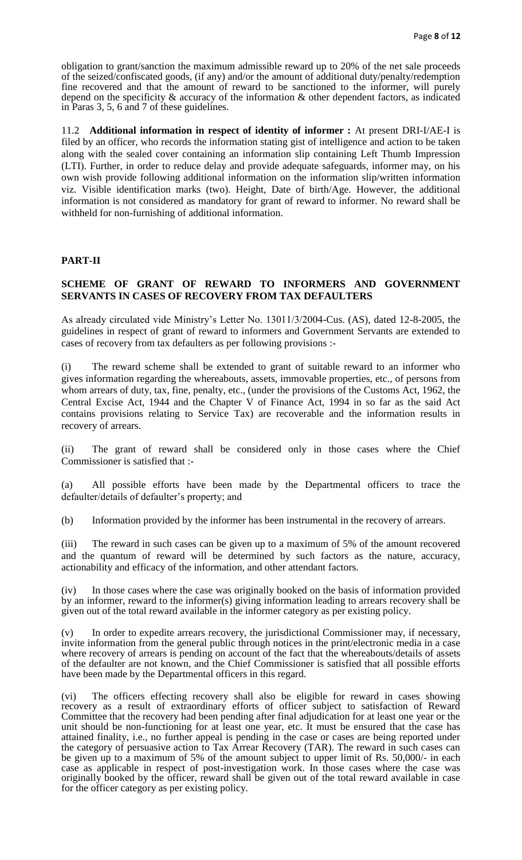obligation to grant/sanction the maximum admissible reward up to 20% of the net sale proceeds of the seized/confiscated goods, (if any) and/or the amount of additional duty/penalty/redemption fine recovered and that the amount of reward to be sanctioned to the informer, will purely depend on the specificity & accuracy of the information & other dependent factors, as indicated in Paras 3, 5, 6 and 7 of these guidelines.

11.2 **Additional information in respect of identity of informer :** At present DRI-I/AE-I is filed by an officer, who records the information stating gist of intelligence and action to be taken along with the sealed cover containing an information slip containing Left Thumb Impression (LTI). Further, in order to reduce delay and provide adequate safeguards, informer may, on his own wish provide following additional information on the information slip/written information viz. Visible identification marks (two). Height, Date of birth/Age. However, the additional information is not considered as mandatory for grant of reward to informer. No reward shall be withheld for non-furnishing of additional information.

## **PART-II**

## **SCHEME OF GRANT OF REWARD TO INFORMERS AND GOVERNMENT SERVANTS IN CASES OF RECOVERY FROM TAX DEFAULTERS**

As already circulated vide Ministry's Letter No. 13011/3/2004-Cus. (AS), dated 12-8-2005, the guidelines in respect of grant of reward to informers and Government Servants are extended to cases of recovery from tax defaulters as per following provisions :-

(i) The reward scheme shall be extended to grant of suitable reward to an informer who gives information regarding the whereabouts, assets, immovable properties, etc., of persons from whom arrears of duty, tax, fine, penalty, etc., (under the provisions of the Customs Act, 1962, the Central Excise Act, 1944 and the Chapter V of Finance Act, 1994 in so far as the said Act contains provisions relating to Service Tax) are recoverable and the information results in recovery of arrears.

(ii) The grant of reward shall be considered only in those cases where the Chief Commissioner is satisfied that :-

(a) All possible efforts have been made by the Departmental officers to trace the defaulter/details of defaulter's property; and

(b) Information provided by the informer has been instrumental in the recovery of arrears.

(iii) The reward in such cases can be given up to a maximum of 5% of the amount recovered and the quantum of reward will be determined by such factors as the nature, accuracy, actionability and efficacy of the information, and other attendant factors.

(iv) In those cases where the case was originally booked on the basis of information provided by an informer, reward to the informer(s) giving information leading to arrears recovery shall be given out of the total reward available in the informer category as per existing policy.

(v) In order to expedite arrears recovery, the jurisdictional Commissioner may, if necessary, invite information from the general public through notices in the print/electronic media in a case where recovery of arrears is pending on account of the fact that the whereabouts/details of assets of the defaulter are not known, and the Chief Commissioner is satisfied that all possible efforts have been made by the Departmental officers in this regard.

(vi) The officers effecting recovery shall also be eligible for reward in cases showing recovery as a result of extraordinary efforts of officer subject to satisfaction of Reward Committee that the recovery had been pending after final adjudication for at least one year or the unit should be non-functioning for at least one year, etc. It must be ensured that the case has attained finality, i.e., no further appeal is pending in the case or cases are being reported under the category of persuasive action to Tax Arrear Recovery (TAR). The reward in such cases can be given up to a maximum of 5% of the amount subject to upper limit of Rs. 50,000/- in each case as applicable in respect of post-investigation work. In those cases where the case was originally booked by the officer, reward shall be given out of the total reward available in case for the officer category as per existing policy.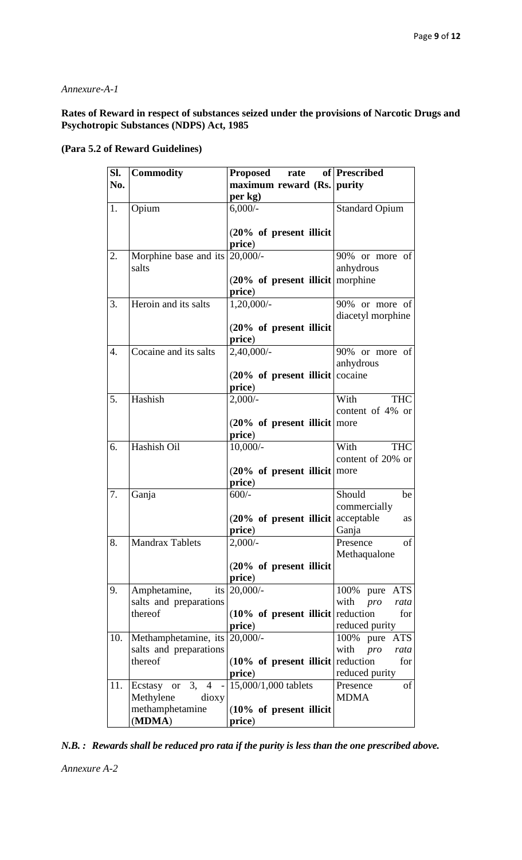## *Annexure-A-1*

## **Rates of Reward in respect of substances seized under the provisions of Narcotic Drugs and Psychotropic Substances (NDPS) Act, 1985**

## **(Para 5.2 of Reward Guidelines)**

| Sl.              | <b>Commodity</b>                   | <b>Proposed</b><br>rate                                   | of Prescribed           |
|------------------|------------------------------------|-----------------------------------------------------------|-------------------------|
| No.              |                                    | maximum reward (Rs. purity                                |                         |
|                  |                                    | per kg)                                                   |                         |
| 1.               | Opium                              | $6,000/$ -                                                | <b>Standard Opium</b>   |
|                  |                                    |                                                           |                         |
|                  |                                    | $(20\% \text{ of present }$ illicit                       |                         |
|                  |                                    | price)                                                    |                         |
| 2.               | Morphine base and its              | $20,000/-$                                                | 90% or more of          |
|                  | salts                              |                                                           | anhydrous               |
|                  |                                    | $(20\% \text{ of present } \text{illicit})$               | morphine                |
|                  |                                    | price)                                                    |                         |
| 3.               | Heroin and its salts               | $1,20,000/-$                                              | 90% or more of          |
|                  |                                    |                                                           | diacetyl morphine       |
|                  |                                    | $(20\% \text{ of present }$ illicit                       |                         |
|                  |                                    | price)                                                    |                         |
| $\overline{4}$ . | Cocaine and its salts              | 2,40,000/-                                                | 90% or more of          |
|                  |                                    |                                                           | anhydrous               |
|                  |                                    | $(20\% \text{ of present } \text{illicit})$               | cocaine                 |
|                  |                                    | price)                                                    |                         |
| 5.               | Hashish                            | $2,000/-$                                                 | With<br><b>THC</b>      |
|                  |                                    |                                                           | content of 4% or        |
|                  |                                    | $(20\% \text{ of present } \text{illicit}   \text{more})$ |                         |
|                  |                                    | price)                                                    |                         |
| 6.               | Hashish Oil                        | $10,000/-$                                                | With<br><b>THC</b>      |
|                  |                                    |                                                           | content of 20% or       |
|                  |                                    | $(20\% \text{ of present } \text{illicit})$               | more                    |
|                  |                                    | price)                                                    |                         |
| 7.               | Ganja                              | $600/-$                                                   | Should<br>be            |
|                  |                                    |                                                           | commercially            |
|                  |                                    | $(20\% \text{ of present } \text{illicit})$               | acceptable<br>as        |
|                  |                                    | price)                                                    | Ganja                   |
| $\overline{8}$   | <b>Mandrax Tablets</b>             | $2,000/-$                                                 | of<br>Presence          |
|                  |                                    |                                                           | Methaqualone            |
|                  |                                    | $(20\% \text{ of present }$ illicit                       |                         |
|                  |                                    | price)                                                    |                         |
| 9.               | Amphetamine,                       | its $20,000/$ -                                           | 100% pure ATS           |
|                  | salts and preparations             |                                                           | with<br>pro<br>rata     |
|                  | thereof                            | $(10\% \text{ of present } \text{illicit})$               | reduction<br>for        |
|                  |                                    | price)                                                    | reduced purity          |
| 10.              | Methamphetamine, its               | $20,000/-$                                                | 100% pure ATS           |
|                  | salts and preparations             |                                                           | with <i>pro</i><br>rata |
|                  | thereof                            | $(10\% \text{ of present } \text{illicit})$               | reduction<br>for        |
|                  |                                    | price)                                                    | reduced purity          |
| 11.              | 3,<br>Ecstasy or<br>$\overline{4}$ | 15,000/1,000 tablets                                      | Presence<br>οf          |
|                  | Methylene<br>dioxy                 |                                                           | <b>MDMA</b>             |
|                  | methamphetamine                    | $(10\% \text{ of present }$ illicit                       |                         |
|                  | (MDMA)                             | price)                                                    |                         |

*N.B. : Rewards shall be reduced pro rata if the purity is less than the one prescribed above.*

*Annexure A-2*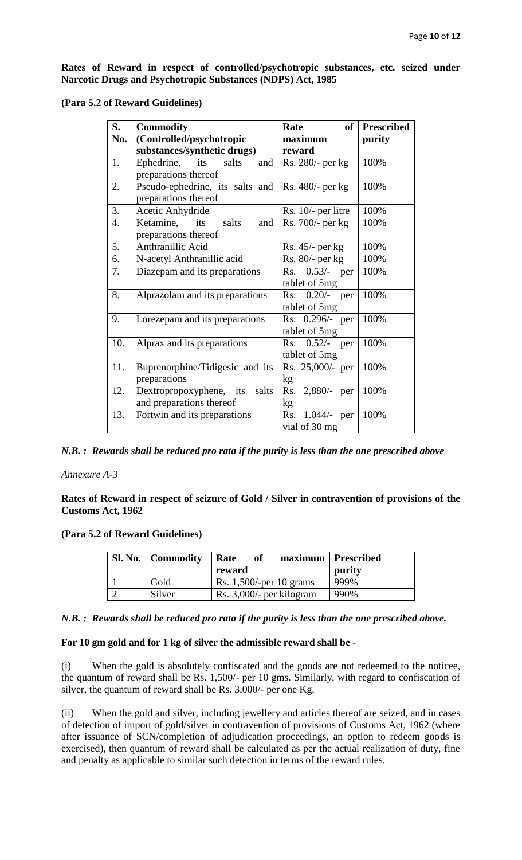**Rates of Reward in respect of controlled/psychotropic substances, etc. seized under Narcotic Drugs and Psychotropic Substances (NDPS) Act, 1985** 

| S.               | <b>Commodity</b>                 | of<br>Rate           | <b>Prescribed</b> |
|------------------|----------------------------------|----------------------|-------------------|
| No.              | (Controlled/psychotropic         | maximum              | purity            |
|                  | substances/synthetic drugs)      | reward               |                   |
| 1.               | Ephedrine, its<br>salts<br>and   | Rs. 280/- per kg     | 100%              |
|                  | preparations thereof             |                      |                   |
| 2.               | Pseudo-ephedrine, its salts and  | Rs. 480/- per kg     | 100%              |
|                  | preparations thereof             |                      |                   |
| 3.               | Acetic Anhydride                 | Rs. $10/-$ per litre | 100%              |
| $\overline{4}$ . | Ketamine, its<br>salts<br>and    | Rs. 700/- per kg     | 100%              |
|                  | preparations thereof             |                      |                   |
| 5.               | Anthranillic Acid                | $Rs. 45/-$ per kg    | 100%              |
| 6.               | N-acetyl Anthranillic acid       | $Rs. 80/-$ per kg    | 100%              |
| 7.               | Diazepam and its preparations    | $Rs. 0.53/-$<br>per  | 100%              |
|                  |                                  | tablet of 5mg        |                   |
| 8.               | Alprazolam and its preparations  | Rs. 0.20/- per       | 100%              |
|                  |                                  | tablet of 5mg        |                   |
| 9.               | Lorezepam and its preparations   | Rs. 0.296/- per      | 100%              |
|                  |                                  | tablet of 5mg        |                   |
| 10.              | Alprax and its preparations      | Rs. $0.52/-$<br>per  | 100%              |
|                  |                                  | tablet of 5mg        |                   |
| 11.              | Buprenorphine/Tidigesic and its  | Rs. 25,000/- per     | 100%              |
|                  | preparations                     | kg                   |                   |
| 12.              | Dextropropoxyphene, its<br>salts | Rs. 2,880/- per      | 100%              |
|                  | and preparations thereof         | kg                   |                   |
| 13.              | Fortwin and its preparations     | Rs. 1.044/- per      | 100%              |
|                  |                                  | vial of 30 mg        |                   |

**(Para 5.2 of Reward Guidelines)**

*N.B. : Rewards shall be reduced pro rata if the purity is less than the one prescribed above*

*Annexure A-3*

**Rates of Reward in respect of seizure of Gold / Silver in contravention of provisions of the Customs Act, 1962** 

#### **(Para 5.2 of Reward Guidelines)**

| <b>Sl. No.</b> Commodity | Rate<br>of<br>reward       | maximum   Prescribed<br>purity |
|--------------------------|----------------------------|--------------------------------|
| Gold                     | Rs. $1,500$ /-per 10 grams | 999%                           |
| Silver                   | Rs. 3,000/- per kilogram   | 990%                           |

#### *N.B. : Rewards shall be reduced pro rata if the purity is less than the one prescribed above.*

## **For 10 gm gold and for 1 kg of silver the admissible reward shall be -**

(i) When the gold is absolutely confiscated and the goods are not redeemed to the noticee, the quantum of reward shall be Rs. 1,500/- per 10 gms. Similarly, with regard to confiscation of silver, the quantum of reward shall be Rs. 3,000/- per one Kg.

(ii) When the gold and silver, including jewellery and articles thereof are seized, and in cases of detection of import of gold/silver in contravention of provisions of Customs Act, 1962 (where after issuance of SCN/completion of adjudication proceedings, an option to redeem goods is exercised), then quantum of reward shall be calculated as per the actual realization of duty, fine and penalty as applicable to similar such detection in terms of the reward rules.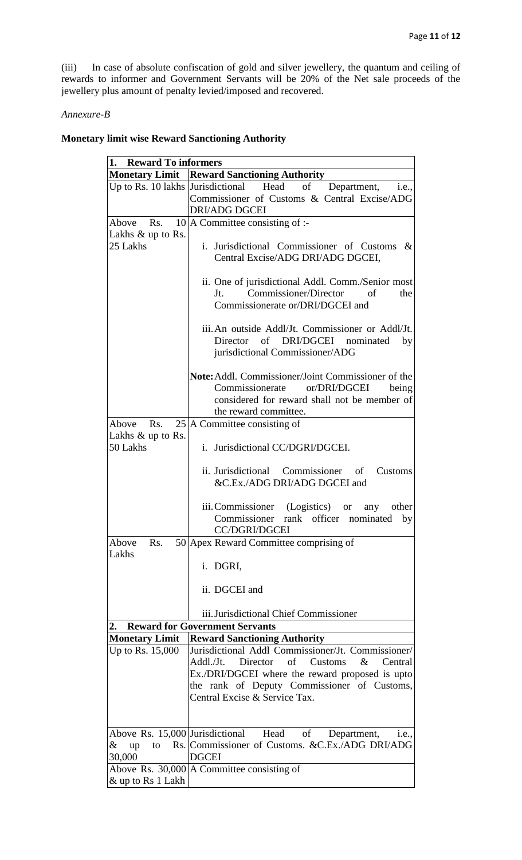(iii) In case of absolute confiscation of gold and silver jewellery, the quantum and ceiling of rewards to informer and Government Servants will be 20% of the Net sale proceeds of the jewellery plus amount of penalty levied/imposed and recovered.

#### *Annexure-B*

## **Monetary limit wise Reward Sanctioning Authority**

| 1. Reward To informers |                                                                            |  |
|------------------------|----------------------------------------------------------------------------|--|
|                        | <b>Monetary Limit   Reward Sanctioning Authority</b>                       |  |
|                        | Up to Rs. 10 lakhs Jurisdictional Head<br>of<br>Department,<br>i.e.,       |  |
|                        | Commissioner of Customs & Central Excise/ADG                               |  |
|                        | <b>DRI/ADG DGCEI</b>                                                       |  |
| Above Rs.              | $10$  A Committee consisting of :-                                         |  |
| Lakhs $&$ up to Rs.    |                                                                            |  |
| 25 Lakhs               | i. Jurisdictional Commissioner of Customs<br>$\&$                          |  |
|                        | Central Excise/ADG DRI/ADG DGCEI,                                          |  |
|                        |                                                                            |  |
|                        | ii. One of jurisdictional Addl. Comm./Senior most                          |  |
|                        | Commissioner/Director<br>of<br>Jt.<br>the                                  |  |
|                        | Commissionerate or/DRI/DGCEI and                                           |  |
|                        |                                                                            |  |
|                        | iii. An outside Addl/Jt. Commissioner or Addl/Jt.                          |  |
|                        | of DRI/DGCEI nominated<br>Director                                         |  |
|                        | by                                                                         |  |
|                        | jurisdictional Commissioner/ADG                                            |  |
|                        |                                                                            |  |
|                        | <b>Note:</b> Addl. Commissioner/Joint Commissioner of the                  |  |
|                        | Commissionerate<br>or/DRI/DGCEI<br>being                                   |  |
|                        | considered for reward shall not be member of                               |  |
|                        | the reward committee.                                                      |  |
| Above<br>Rs.           | $25$ A Committee consisting of                                             |  |
| Lakhs $&$ up to Rs.    |                                                                            |  |
| 50 Lakhs               | i. Jurisdictional CC/DGRI/DGCEI.                                           |  |
|                        |                                                                            |  |
|                        | ii. Jurisdictional Commissioner of<br>Customs                              |  |
|                        | &C.Ex./ADG DRI/ADG DGCEI and                                               |  |
|                        |                                                                            |  |
|                        | iii. Commissioner (Logistics)<br>other<br><sub>or</sub><br>any             |  |
|                        | Commissioner rank officer nominated<br>by                                  |  |
|                        | <b>CC/DGRI/DGCEI</b>                                                       |  |
| Above<br>Rs.           | 50 Apex Reward Committee comprising of                                     |  |
| Lakhs                  |                                                                            |  |
|                        | i. DGRI,                                                                   |  |
|                        |                                                                            |  |
|                        | ii. DGCEI and                                                              |  |
|                        |                                                                            |  |
|                        | iii. Jurisdictional Chief Commissioner                                     |  |
| 2.                     | <b>Reward for Government Servants</b>                                      |  |
| <b>Monetary Limit</b>  | <b>Reward Sanctioning Authority</b>                                        |  |
| Up to Rs. 15,000       | Jurisdictional Addl Commissioner/Jt. Commissioner/                         |  |
|                        | Director of Customs<br>$\&$<br>Addl./Jt.<br>Central                        |  |
|                        | Ex./DRI/DGCEI where the reward proposed is upto                            |  |
|                        | the rank of Deputy Commissioner of Customs,                                |  |
|                        | Central Excise & Service Tax.                                              |  |
|                        |                                                                            |  |
|                        |                                                                            |  |
|                        | Above Rs. 15,000 Jurisdictional Head<br>of<br>Department,<br><i>i.e.</i> , |  |
| &<br>up<br>to          | Rs. Commissioner of Customs. & C.Ex./ADG DRI/ADG                           |  |
| 30,000                 | <b>DGCEI</b>                                                               |  |
|                        | Above Rs. 30,000 A Committee consisting of                                 |  |
| & up to Rs 1 Lakh      |                                                                            |  |